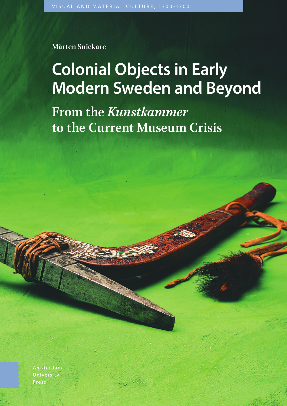**Mårten Snickare**

# **Colonial Objects in Early Modern Sweden and Beyond**

**From the** *Kunstkammer* **to the Current Museum Crisis**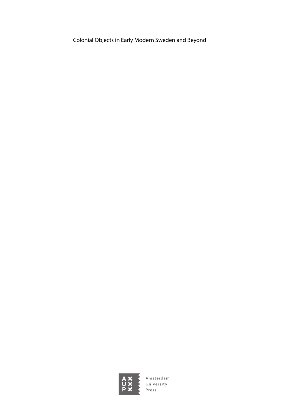Colonial Objects in Early Modern Sweden and Beyond

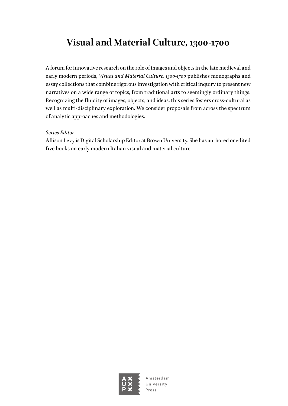### **Visual and Material Culture, 1300-1700**

A forum for innovative research on the role of images and objects in the late medieval and early modern periods, *Visual and Material Culture, 1300-1700* publishes monographs and essay collections that combine rigorous investigation with critical inquiry to present new narratives on a wide range of topics, from traditional arts to seemingly ordinary things. Recognizing the fluidity of images, objects, and ideas, this series fosters cross-cultural as well as multi-disciplinary exploration. We consider proposals from across the spectrum of analytic approaches and methodologies.

#### *Series Editor*

Allison Levy is Digital Scholarship Editor at Brown University. She has authored or edited five books on early modern Italian visual and material culture.

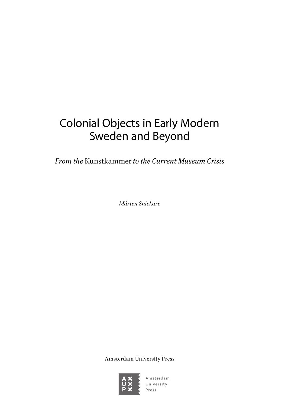# Colonial Objects in Early Modern Sweden and Beyond

*From the* Kunstkammer *to the Current Museum Crisis*

*Mårten Snickare*

Amsterdam University Press

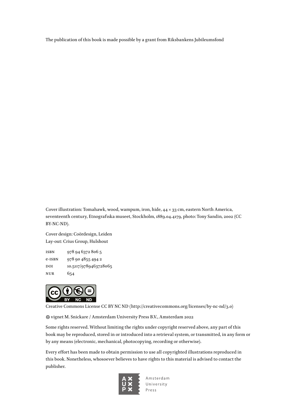The publication of this book is made possible by a grant from Riksbankens Jubileumsfond

Cover illustration: Tomahawk, wood, wampum, iron, hide, 44 × 33 cm, eastern North America, seventeenth century, Etnografiska museet, Stockholm, 1889.04.4179, photo: Tony Sandin, 2002 (CC BY-NC-ND).

Cover design: Coördesign, Leiden Lay-out: Crius Group, Hulshout

isbn 978 94 6372 806 5 e-isbn 978 90 4855 494 2 DOI 10.5117/9789463728065 nur 654



Creative Commons License CC BY NC ND ([http://creativecommons.org/licenses/by-nc-nd/3.0\)](http://creativecommons.org/licenses/by-nc-nd/3.0)

vignet M. Snickare / Amsterdam University Press B.V., Amsterdam 2022

Some rights reserved. Without limiting the rights under copyright reserved above, any part of this book may be reproduced, stored in or introduced into a retrieval system, or transmitted, in any form or by any means (electronic, mechanical, photocopying, recording or otherwise).

Every effort has been made to obtain permission to use all copyrighted illustrations reproduced in this book. Nonetheless, whosoever believes to have rights to this material is advised to contact the publisher.

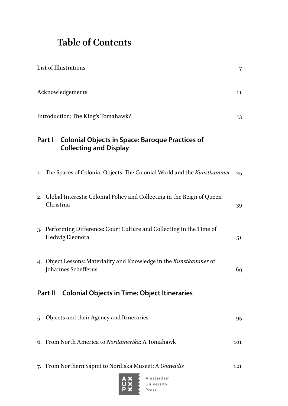## **Table of Contents**

|                                                                | List of Illustrations                                                                             |     |  |
|----------------------------------------------------------------|---------------------------------------------------------------------------------------------------|-----|--|
|                                                                | Acknowledgements                                                                                  | 11  |  |
|                                                                | Introduction: The King's Tomahawk?<br>13                                                          |     |  |
|                                                                | Part I<br><b>Colonial Objects in Space: Baroque Practices of</b><br><b>Collecting and Display</b> |     |  |
|                                                                | 1. The Spaces of Colonial Objects: The Colonial World and the Kunstkammer                         | 25  |  |
|                                                                | 2. Global Interests: Colonial Policy and Collecting in the Reign of Queen<br>Christina            | 39  |  |
|                                                                | 3. Performing Difference: Court Culture and Collecting in the Time of<br>Hedwig Eleonora          | 51  |  |
|                                                                | 4. Object Lessons: Materiality and Knowledge in the Kunstkammer of<br>Johannes Schefferus         | 69  |  |
| Part II<br><b>Colonial Objects in Time: Object Itineraries</b> |                                                                                                   |     |  |
|                                                                | 5. Objects and their Agency and Itineraries                                                       | 95  |  |
|                                                                | 6. From North America to Nordamerika: A Tomahawk                                                  | 101 |  |
|                                                                | 7. From Northern Sápmi to Nordiska Museet: A Goavddis                                             | 121 |  |

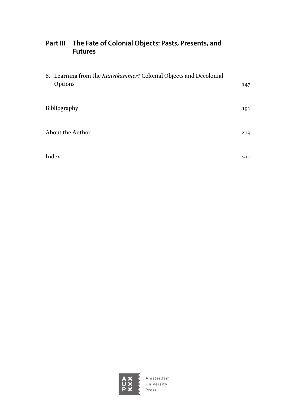#### **[Part III The Fate of Colonial Objects: Pasts, Presents, and](#page--1-0)  [Futures](#page--1-0)**

| 8. Learning from the Kunstkammer? Colonial Objects and Decolonial<br>Options | 147 |
|------------------------------------------------------------------------------|-----|
| Bibliography                                                                 | 191 |
| About the Author                                                             | 209 |
| Index                                                                        | 211 |

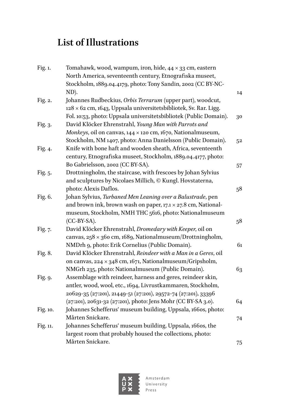## <span id="page-7-0"></span>**List of Illustrations**

| Tomahawk, wood, wampum, iron, hide, $44 \times 33$ cm, eastern<br>North America, seventeenth century, Etnografiska museet, |                                                                                                                                                                                                                                                                                                                                                                                                                                                                                                                                                                                                                                                                                                                                                                                                                                                                     |
|----------------------------------------------------------------------------------------------------------------------------|---------------------------------------------------------------------------------------------------------------------------------------------------------------------------------------------------------------------------------------------------------------------------------------------------------------------------------------------------------------------------------------------------------------------------------------------------------------------------------------------------------------------------------------------------------------------------------------------------------------------------------------------------------------------------------------------------------------------------------------------------------------------------------------------------------------------------------------------------------------------|
| Stockholm, 1889.04.4179, photo: Tony Sandin, 2002 (CC BY-NC-                                                               |                                                                                                                                                                                                                                                                                                                                                                                                                                                                                                                                                                                                                                                                                                                                                                                                                                                                     |
|                                                                                                                            | 14                                                                                                                                                                                                                                                                                                                                                                                                                                                                                                                                                                                                                                                                                                                                                                                                                                                                  |
|                                                                                                                            |                                                                                                                                                                                                                                                                                                                                                                                                                                                                                                                                                                                                                                                                                                                                                                                                                                                                     |
|                                                                                                                            |                                                                                                                                                                                                                                                                                                                                                                                                                                                                                                                                                                                                                                                                                                                                                                                                                                                                     |
|                                                                                                                            | 30                                                                                                                                                                                                                                                                                                                                                                                                                                                                                                                                                                                                                                                                                                                                                                                                                                                                  |
|                                                                                                                            |                                                                                                                                                                                                                                                                                                                                                                                                                                                                                                                                                                                                                                                                                                                                                                                                                                                                     |
|                                                                                                                            |                                                                                                                                                                                                                                                                                                                                                                                                                                                                                                                                                                                                                                                                                                                                                                                                                                                                     |
|                                                                                                                            | 52                                                                                                                                                                                                                                                                                                                                                                                                                                                                                                                                                                                                                                                                                                                                                                                                                                                                  |
|                                                                                                                            |                                                                                                                                                                                                                                                                                                                                                                                                                                                                                                                                                                                                                                                                                                                                                                                                                                                                     |
| century, Etnografiska museet, Stockholm, 1889.04.4177, photo:                                                              |                                                                                                                                                                                                                                                                                                                                                                                                                                                                                                                                                                                                                                                                                                                                                                                                                                                                     |
| Bo Gabrielsson, 2002 (CC BY-SA).                                                                                           | 57                                                                                                                                                                                                                                                                                                                                                                                                                                                                                                                                                                                                                                                                                                                                                                                                                                                                  |
| Drottningholm, the staircase, with frescoes by Johan Sylvius                                                               |                                                                                                                                                                                                                                                                                                                                                                                                                                                                                                                                                                                                                                                                                                                                                                                                                                                                     |
| and sculptures by Nicolaes Millich, © Kungl. Hovstaterna,                                                                  |                                                                                                                                                                                                                                                                                                                                                                                                                                                                                                                                                                                                                                                                                                                                                                                                                                                                     |
| photo: Alexis Daflos.                                                                                                      | 58                                                                                                                                                                                                                                                                                                                                                                                                                                                                                                                                                                                                                                                                                                                                                                                                                                                                  |
| Johan Sylvius, Turbaned Men Leaning over a Balustrade, pen                                                                 |                                                                                                                                                                                                                                                                                                                                                                                                                                                                                                                                                                                                                                                                                                                                                                                                                                                                     |
| and brown ink, brown wash on paper, $17.1 \times 27.8$ cm, National-                                                       |                                                                                                                                                                                                                                                                                                                                                                                                                                                                                                                                                                                                                                                                                                                                                                                                                                                                     |
| museum, Stockholm, NMH THC 5616, photo: Nationalmuseum                                                                     |                                                                                                                                                                                                                                                                                                                                                                                                                                                                                                                                                                                                                                                                                                                                                                                                                                                                     |
| $(CC-BY-SA)$ .                                                                                                             | 58                                                                                                                                                                                                                                                                                                                                                                                                                                                                                                                                                                                                                                                                                                                                                                                                                                                                  |
| David Klöcker Ehrenstrahl, Dromedary with Keeper, oil on                                                                   |                                                                                                                                                                                                                                                                                                                                                                                                                                                                                                                                                                                                                                                                                                                                                                                                                                                                     |
| canvas, $258 \times 360$ cm, 1689, Nationalmuseum/Drottningholm,                                                           |                                                                                                                                                                                                                                                                                                                                                                                                                                                                                                                                                                                                                                                                                                                                                                                                                                                                     |
| NMDrh 9, photo: Erik Cornelius (Public Domain).                                                                            | 61                                                                                                                                                                                                                                                                                                                                                                                                                                                                                                                                                                                                                                                                                                                                                                                                                                                                  |
| David Klöcker Ehrenstrahl, Reindeer with a Man in a Geres, oil                                                             |                                                                                                                                                                                                                                                                                                                                                                                                                                                                                                                                                                                                                                                                                                                                                                                                                                                                     |
|                                                                                                                            |                                                                                                                                                                                                                                                                                                                                                                                                                                                                                                                                                                                                                                                                                                                                                                                                                                                                     |
|                                                                                                                            | 63                                                                                                                                                                                                                                                                                                                                                                                                                                                                                                                                                                                                                                                                                                                                                                                                                                                                  |
| Assemblage with reindeer, harness and geres, reindeer skin,                                                                |                                                                                                                                                                                                                                                                                                                                                                                                                                                                                                                                                                                                                                                                                                                                                                                                                                                                     |
| antler, wood, wool, etc., 1694, Livrustkammaren, Stockholm,                                                                |                                                                                                                                                                                                                                                                                                                                                                                                                                                                                                                                                                                                                                                                                                                                                                                                                                                                     |
|                                                                                                                            |                                                                                                                                                                                                                                                                                                                                                                                                                                                                                                                                                                                                                                                                                                                                                                                                                                                                     |
|                                                                                                                            | 64                                                                                                                                                                                                                                                                                                                                                                                                                                                                                                                                                                                                                                                                                                                                                                                                                                                                  |
|                                                                                                                            |                                                                                                                                                                                                                                                                                                                                                                                                                                                                                                                                                                                                                                                                                                                                                                                                                                                                     |
| Mårten Snickare.                                                                                                           | 74                                                                                                                                                                                                                                                                                                                                                                                                                                                                                                                                                                                                                                                                                                                                                                                                                                                                  |
|                                                                                                                            |                                                                                                                                                                                                                                                                                                                                                                                                                                                                                                                                                                                                                                                                                                                                                                                                                                                                     |
| largest room that probably housed the collections, photo:                                                                  |                                                                                                                                                                                                                                                                                                                                                                                                                                                                                                                                                                                                                                                                                                                                                                                                                                                                     |
| Mårten Snickare.                                                                                                           | 75                                                                                                                                                                                                                                                                                                                                                                                                                                                                                                                                                                                                                                                                                                                                                                                                                                                                  |
|                                                                                                                            | ND).<br>Johannes Rudbeckius, Orbis Terrarum (upper part), woodcut,<br>128 × 62 cm, 1643, Uppsala universitetsbibliotek, Sv. Rar. Ligg.<br>Fol. 10:53, photo: Uppsala universitetsbibliotek (Public Domain).<br>David Klöcker Ehrenstrahl, Young Man with Parrots and<br>Monkeys, oil on canvas, $144 \times 120$ cm, $1670$ , Nationalmuseum,<br>Stockholm, NM 1407, photo: Anna Danielsson (Public Domain).<br>Knife with bone haft and wooden sheath, Africa, seventeenth<br>on canvas, $224 \times 348$ cm, 1671, Nationalmuseum/Gripsholm,<br>NMGrh 235, photo: Nationalmuseum (Public Domain).<br>20629-35 (27:201), 21449-51 (27:201), 29572-74 (27:201), 33396<br>(27:201), 20631-32 (27:201), photo: Jens Mohr (CC BY-SA 3.0).<br>Johannes Schefferus' museum building, Uppsala, 1660s, photo:<br>Johannes Schefferus' museum building, Uppsala, 1660s, the |

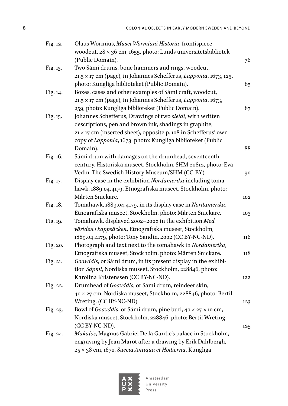| Fig. 12. | Olaus Wormius, Musei Wormiani Historia, frontispiece,                           |     |
|----------|---------------------------------------------------------------------------------|-----|
|          | woodcut, $28 \times 36$ cm, 1655, photo: Lunds universitets bibliotek           |     |
|          | (Public Domain).                                                                | 76  |
| Fig. 13. | Two Sámi drums, bone hammers and rings, woodcut,                                |     |
|          | 21.5 × 17 cm (page), in Johannes Schefferus, Lapponia, 1673, 125,               |     |
|          | photo: Kungliga biblioteket (Public Domain).                                    | 85  |
| Fig. 14. | Boxes, cases and other examples of Sámi craft, woodcut,                         |     |
|          | 21.5 × 17 cm (page), in Johannes Schefferus, Lapponia, 1673,                    |     |
|          | 259, photo: Kungliga biblioteket (Public Domain).                               | 87  |
| Fig. 15. | Johannes Schefferus, Drawings of two sieidi, with written                       |     |
|          | descriptions, pen and brown ink, shadings in graphite,                          |     |
|          | 21 × 17 cm (inserted sheet), opposite p. 108 in Schefferus' own                 |     |
|          | copy of Lapponia, 1673, photo: Kungliga biblioteket (Public                     |     |
|          | Domain).                                                                        | 88  |
| Fig. 16. | Sámi drum with damages on the drumhead, seventeenth                             |     |
|          | century, Historiska museet, Stockholm, SHM 20812, photo: Eva                    |     |
|          | Vedin, The Swedish History Museum/SHM (CC-BY).                                  | 90  |
| Fig. 17. | Display case in the exhibition Nordamerika including toma-                      |     |
|          | hawk, 1889.04.4179, Etnografiska museet, Stockholm, photo:                      |     |
|          | Mårten Snickare.                                                                | 102 |
| Fig. 18. | Tomahawk, 1889.04.4179, in its display case in Nordamerika,                     |     |
|          | Etnografiska museet, Stockholm, photo: Mårten Snickare.                         | 103 |
| Fig. 19. | Tomahawk, displayed 2002-2008 in the exhibition Med                             |     |
|          | världen i kappsäcken, Etnografiska museet, Stockholm,                           |     |
|          | 1889.04.4179, photo: Tony Sandin, 2002 (CC BY-NC-ND).                           | 116 |
| Fig. 20. | Photograph and text next to the tomahawk in Nordamerika,                        |     |
|          | Etnografiska museet, Stockholm, photo: Mårten Snickare.                         | 118 |
| Fig. 21. | Goavddis, or Sámi drum, in its present display in the exhibi-                   |     |
|          | tion Sápmi, Nordiska museet, Stockholm, 228846, photo:                          |     |
|          | Karolina Kristenssen (CC BY-NC-ND).                                             | 122 |
| Fig. 22. | Drumhead of Goavddis, or Sámi drum, reindeer skin,                              |     |
|          | 40 × 27 cm. Nordiska museet, Stockholm, 228846, photo: Bertil                   |     |
|          | Wreting, (CC BY-NC-ND).                                                         | 123 |
| Fig. 23. | Bowl of <i>Goavddis</i> , or Sámi drum, pine burl, $40 \times 27 \times 10$ cm, |     |
|          | Nordiska museet, Stockholm, 228846, photo: Bertil Wreting                       |     |
|          | (CC BY-NC-ND).                                                                  | 125 |
| Fig. 24. | Makalös, Magnus Gabriel De la Gardie's palace in Stockholm,                     |     |
|          | engraving by Jean Marot after a drawing by Erik Dahlbergh,                      |     |
|          | 25 × 38 cm, 1670, Suecia Antiqua et Hodierna. Kungliga                          |     |



Amsterdam<br>University<br>Press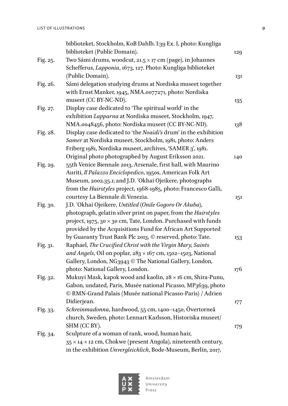|          | biblioteket, Stockholm, KoB Dahlb. I:39 Ex. I, photo: Kungliga<br>biblioteket (Public Domain).                                   | 129 |
|----------|----------------------------------------------------------------------------------------------------------------------------------|-----|
| Fig. 25. | Two Sámi drums, woodcut, 21.5 $\times$ 17 cm (page), in Johannes<br>Schefferus, Lapponia, 1673, 127. Photo: Kungliga biblioteket |     |
|          | (Public Domain).                                                                                                                 | 131 |
| Fig. 26. | Sámi delegation studying drums at Nordiska museet together                                                                       |     |
|          | with Ernst Manker, 1945, NMA.0077271, photo: Nordiska                                                                            |     |
|          | museet (CC BY-NC-ND).                                                                                                            | 135 |
| Fig. 27. | Display case dedicated to 'The spiritual world' in the                                                                           |     |
|          | exhibition Lapparna at Nordiska museet, Stockholm, 1947,                                                                         |     |
|          | NMA.0048456, photo: Nordiska museet (CC BY-NC-ND).                                                                               | 138 |
| Fig. 28. | Display case dedicated to 'the Noaidi's drum' in the exhibition                                                                  |     |
|          | Samer at Nordiska museet, Stockholm, 1981, photo: Anders                                                                         |     |
|          | Friberg 1981, Nordiska museet, archives, 'SAMER 3', 1981.                                                                        |     |
|          | Original photo photographed by August Eriksson 2021.                                                                             | 140 |
| Fig. 29. | 55th Venice Biennale 2013, Arsenale, first hall, with Maurino                                                                    |     |
|          | Auriti, Il Palazzo Enciclopedico, 1950s, American Folk Art                                                                       |     |
|          | Museum, 2002.35.1; and J.D. 'Okhai Ojeikere, photographs                                                                         |     |
|          | from the Hairstyles project, 1968-1985, photo: Francesco Galli,                                                                  |     |
|          | courtesy La Biennale di Venezia.                                                                                                 | 151 |
| Fig. 30. | J.D. 'Okhai Ojeikere, Untitled (Onile Gogoro Or Akaba),                                                                          |     |
|          | photograph, gelatin silver print on paper, from the Hairstyles                                                                   |     |
|          | project, 1975, 30 $\times$ 30 cm, Tate, London. Purchased with funds                                                             |     |
|          | provided by the Acquisitions Fund for African Art Supported                                                                      |     |
|          | by Guaranty Trust Bank Plc 2013, © reserved, photo: Tate.                                                                        |     |
| Fig. 31. | Raphael, The Crucified Christ with the Virgin Mary, Saints                                                                       | 153 |
|          | and Angels, Oil on poplar, $283 \times 167$ cm, 1502-1503, National                                                              |     |
|          |                                                                                                                                  |     |
|          | Gallery, London, NG3943 © The National Gallery, London,<br>photo: National Gallery, London.                                      |     |
|          |                                                                                                                                  | 176 |
| Fig. 32. | Mukuyi Mask, kapok wood and kaolin, 28 x 16 cm, Shira-Punu,                                                                      |     |
|          | Gabon, undated, Paris, Musée national Picasso, MP3639, photo                                                                     |     |
|          | © RMN-Grand Palais (Musée national Picasso-Paris) / Adrien                                                                       |     |
|          | Didierjean.                                                                                                                      | 177 |
| Fig. 33. | Schreinmadonna, hardwood, 55 cm, 1400-1450, Övertorneå                                                                           |     |
|          | church, Sweden, photo: Lennart Karlsson, Historiska museet/                                                                      |     |
|          | SHM (CC BY).                                                                                                                     | 179 |
| Fig. 34. | Sculpture of a woman of rank, wood, human hair,                                                                                  |     |
|          | 35 × 14 × 12 cm, Chokwe (present Angola), nineteenth century,                                                                    |     |
|          | in the exhibition Unvergleichlich, Bode-Museum, Berlin, 2017,                                                                    |     |

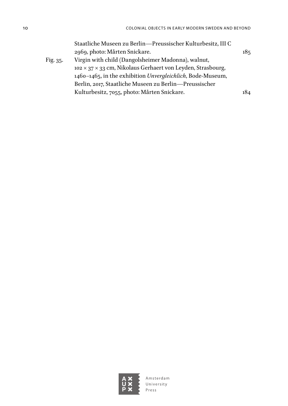| 185 |
|-----|
|     |
|     |
|     |
|     |
| 184 |
|     |



Amsterdam<br>University<br>Press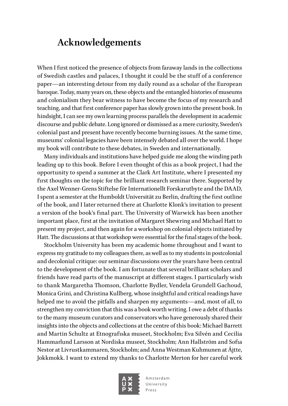### <span id="page-11-0"></span>**Acknowledgements**

When I first noticed the presence of objects from faraway lands in the collections of Swedish castles and palaces, I thought it could be the stuff of a conference paper—an interesting detour from my daily round as a scholar of the European baroque. Today, many years on, these objects and the entangled histories of museums and colonialism they bear witness to have become the focus of my research and teaching, and that first conference paper has slowly grown into the present book. In hindsight, I can see my own learning process parallels the development in academic discourse and public debate. Long ignored or dismissed as a mere curiosity, Sweden's colonial past and present have recently become burning issues. At the same time, museums' colonial legacies have been intensely debated all over the world. I hope my book will contribute to these debates, in Sweden and internationally.

Many individuals and institutions have helped guide me along the winding path leading up to this book. Before I even thought of this as a book project, I had the opportunity to spend a summer at the Clark Art Institute, where I presented my first thoughts on the topic for the brilliant research seminar there. Supported by the Axel Wenner-Grens Stiftelse för Internationellt Forskarutbyte and the DAAD, I spent a semester at the Humboldt Universität zu Berlin, drafting the first outline of the book, and I later returned there at Charlotte Klonk's invitation to present a version of the book's final part. The University of Warwick has been another important place, first at the invitation of Margaret Shewring and Michael Hatt to present my project, and then again for a workshop on colonial objects initiated by Hatt. The discussions at that workshop were essential for the final stages of the book.

Stockholm University has been my academic home throughout and I want to express my gratitude to my colleagues there, as well as to my students in postcolonial and decolonial critique: our seminar discussions over the years have been central to the development of the book. I am fortunate that several brilliant scholars and friends have read parts of the manuscript at different stages. I particularly wish to thank Margaretha Thomson, Charlotte Bydler, Vendela Grundell Gachoud, Monica Grini, and Christina Kullberg, whose insightful and critical readings have helped me to avoid the pitfalls and sharpen my arguments—and, most of all, to strengthen my conviction that this was a book worth writing. I owe a debt of thanks to the many museum curators and conservators who have generously shared their insights into the objects and collections at the centre of this book: Michael Barrett and Martin Schultz at Etnografiska museet, Stockholm; Eva Silvén and Cecilia Hammarlund Larsson at Nordiska museet, Stockholm; Ann Hallström and Sofia Nestor at Livrustkammaren, Stockholm; and Anna Westman Kuhmunen at Ájtte, Jokkmokk. I want to extend my thanks to Charlotte Merton for her careful work

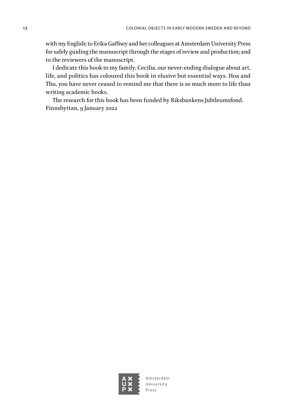with my English; to Erika Gaffney and her colleagues at Amsterdam University Press for safely guiding the manuscript through the stages of review and production; and to the reviewers of the manuscript.

I dedicate this book to my family. Cecilia, our never-ending dialogue about art, life, and politics has coloured this book in elusive but essential ways. Hoa and Thu, you have never ceased to remind me that there is so much more to life than writing academic books.

The research for this book has been funded by Riksbankens Jubileumsfond. Finnshyttan, 9 January 2022

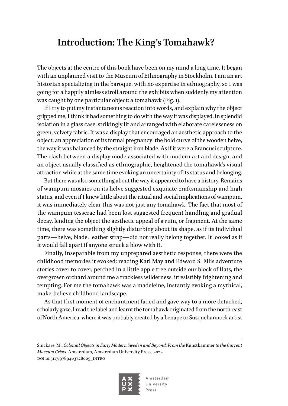### <span id="page-13-0"></span>**Introduction: The King's Tomahawk?**

The objects at the centre of this book have been on my mind a long time. It began with an unplanned visit to the Museum of Ethnography in Stockholm. I am an art historian specializing in the baroque, with no expertise in ethnography, so I was going for a happily aimless stroll around the exhibits when suddenly my attention was caught by one particular object: a tomahawk (Fig. 1).

If I try to put my instantaneous reaction into words, and explain why the object gripped me, I think it had something to do with the way it was displayed, in splendid isolation in a glass case, strikingly lit and arranged with elaborate carelessness on green, velvety fabric. It was a display that encouraged an aesthetic approach to the object, an appreciation of its formal pregnancy: the bold curve of the wooden helve, the way it was balanced by the straight iron blade. As if it were a Brancusi sculpture. The clash between a display mode associated with modern art and design, and an object usually classified as ethnographic, heightened the tomahawk's visual attraction while at the same time evoking an uncertainty of its status and belonging.

But there was also something about the way it appeared to have a history. Remains of wampum mosaics on its helve suggested exquisite craftsmanship and high status, and even if I knew little about the ritual and social implications of wampum, it was immediately clear this was not just any tomahawk. The fact that most of the wampum tesserae had been lost suggested frequent handling and gradual decay, lending the object the aesthetic appeal of a ruin, or fragment. At the same time, there was something slightly disturbing about its shape, as if its individual parts—helve, blade, leather strap—did not really belong together. It looked as if it would fall apart if anyone struck a blow with it.

Finally, inseparable from my unprepared aesthetic response, there were the childhood memories it evoked: reading Karl May and Edward S. Ellis adventure stories cover to cover, perched in a little apple tree outside our block of flats, the overgrown orchard around me a trackless wilderness, irresistibly frightening and tempting. For me the tomahawk was a madeleine, instantly evoking a mythical, make-believe childhood landscape.

As that first moment of enchantment faded and gave way to a more detached, scholarly gaze, I read the label and learnt the tomahawk originated from the north-east of North America, where it was probably created by a Lenape or Susquehannock artist

Snickare, M., *Colonial Objects in Early Modern Sweden and Beyond: From the* Kunstkammer *to the Current Museum Crisis*. Amsterdam, Amsterdam University Press, 2022 DOI 10.5117/9789463728065\_INTRO

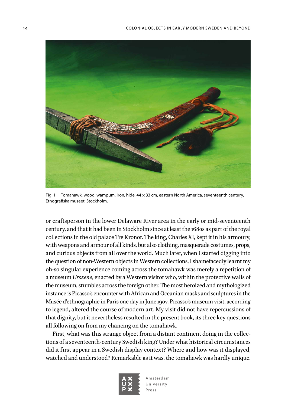

Fig. 1. Tomahawk, wood, wampum, iron, hide, 44 × 33 cm, eastern North America, seventeenth century, Etnografiska museet, Stockholm.

<span id="page-14-0"></span>or craftsperson in the lower Delaware River area in the early or mid-seventeenth century, and that it had been in Stockholm since at least the 1680s as part of the royal collections in the old palace Tre Kronor. The king, Charles XI, kept it in his armoury, with weapons and armour of all kinds, but also clothing, masquerade costumes, props, and curious objects from all over the world. Much later, when I started digging into the question of non-Western objects in Western collections, I shamefacedly learnt my oh-so singular experience coming across the tomahawk was merely a repetition of a museum *Urszene*, enacted by a Western visitor who, within the protective walls of the museum, stumbles across the foreign other. The most heroized and mythologized instance is Picasso's encounter with African and Oceanian masks and sculptures in the Musée d'ethnographie in Paris one day in June 1907. Picasso's museum visit, according to legend, altered the course of modern art. My visit did not have repercussions of that dignity, but it nevertheless resulted in the present book, its three key questions all following on from my chancing on the tomahawk.

First, what was this strange object from a distant continent doing in the collections of a seventeenth-century Swedish king? Under what historical circumstances did it first appear in a Swedish display context? Where and how was it displayed, watched and understood? Remarkable as it was, the tomahawk was hardly unique.

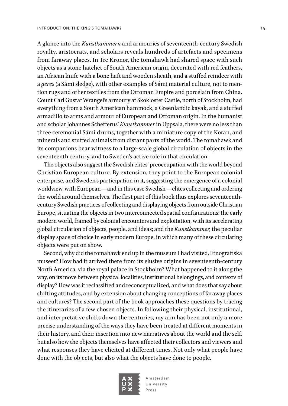A glance into the *Kunstkammern* and armouries of seventeenth-century Swedish royalty, aristocrats, and scholars reveals hundreds of artefacts and specimens from faraway places. In Tre Kronor, the tomahawk had shared space with such objects as a stone hatchet of South American origin, decorated with red feathers, an African knife with a bone haft and wooden sheath, and a stuffed reindeer with a *geres* (a Sámi sledge), with other examples of Sámi material culture, not to mention rugs and other textiles from the Ottoman Empire and porcelain from China. Count Carl Gustaf Wrangel's armoury at Skokloster Castle, north of Stockholm, had everything from a South American hammock, a Greenlandic kayak, and a stuffed armadillo to arms and armour of European and Ottoman origin. In the humanist and scholar Johannes Schefferus' *Kunstkammer* in Uppsala, there were no less than three ceremonial Sámi drums, together with a miniature copy of the Koran, and minerals and stuffed animals from distant parts of the world. The tomahawk and its companions bear witness to a large-scale global circulation of objects in the seventeenth century, and to Sweden's active role in that circulation.

The objects also suggest the Swedish elites' preoccupation with the world beyond Christian European culture. By extension, they point to the European colonial enterprise, and Sweden's participation in it, suggesting the emergence of a colonial worldview, with European—and in this case Swedish—elites collecting and ordering the world around themselves. The first part of this book thus explores seventeenthcentury Swedish practices of collecting and displaying objects from outside Christian Europe, situating the objects in two interconnected spatial configurations: the early modern world, framed by colonial encounters and exploitation, with its accelerating global circulation of objects, people, and ideas; and the *Kunstkammer*, the peculiar display space of choice in early modern Europe, in which many of these circulating objects were put on show.

Second, why did the tomahawk end up in the museum I had visited, Etnografiska museet? How had it arrived there from its elusive origins in seventeenth-century North America, via the royal palace in Stockholm? What happened to it along the way, on its move between physical localities, institutional belongings, and contexts of display? How was it reclassified and reconceptualized, and what does that say about shifting attitudes, and by extension about changing conceptions of faraway places and cultures? The second part of the book approaches these questions by tracing the itineraries of a few chosen objects. In following their physical, institutional, and interpretative shifts down the centuries, my aim has been not only a more precise understanding of the ways they have been treated at different moments in their history, and their insertion into new narratives about the world and the self, but also how the objects themselves have affected their collectors and viewers and what responses they have elicited at different times. Not only what people have done with the objects, but also what the objects have done to people.

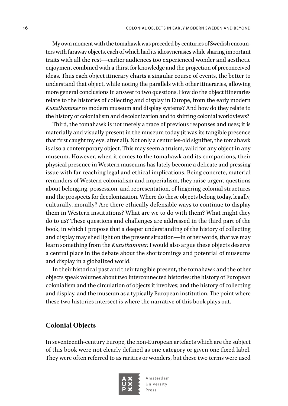My own moment with the tomahawk was preceded by centuries of Swedish encounters with faraway objects, each of which had its idiosyncrasies while sharing important traits with all the rest—earlier audiences too experienced wonder and aesthetic enjoyment combined with a thirst for knowledge and the projection of preconceived ideas. Thus each object itinerary charts a singular course of events, the better to understand that object, while noting the parallels with other itineraries, allowing more general conclusions in answer to two questions. How do the object itineraries relate to the histories of collecting and display in Europe, from the early modern *Kunstkammer* to modern museum and display systems? And how do they relate to the history of colonialism and decolonization and to shifting colonial worldviews?

Third, the tomahawk is not merely a trace of previous responses and uses; it is materially and visually present in the museum today (it was its tangible presence that first caught my eye, after all). Not only a centuries-old signifier, the tomahawk is also a contemporary object. This may seem a truism, valid for any object in any museum. However, when it comes to the tomahawk and its companions, their physical presence in Western museums has lately become a delicate and pressing issue with far-reaching legal and ethical implications. Being concrete, material reminders of Western colonialism and imperialism, they raise urgent questions about belonging, possession, and representation, of lingering colonial structures and the prospects for decolonization. Where do these objects belong today, legally, culturally, morally? Are there ethically defensible ways to continue to display them in Western institutions? What are we to do with them? What might they do to us? These questions and challenges are addressed in the third part of the book, in which I propose that a deeper understanding of the history of collecting and display may shed light on the present situation—in other words, that we may learn something from the *Kunstkammer*. I would also argue these objects deserve a central place in the debate about the shortcomings and potential of museums and display in a globalized world.

In their historical past and their tangible present, the tomahawk and the other objects speak volumes about two interconnected histories: the history of European colonialism and the circulation of objects it involves; and the history of collecting and display, and the museum as a typically European institution. The point where these two histories intersect is where the narrative of this book plays out.

#### **Colonial Objects**

In seventeenth-century Europe, the non-European artefacts which are the subject of this book were not clearly defined as one category or given one fixed label. They were often referred to as rarities or wonders, but these two terms were used

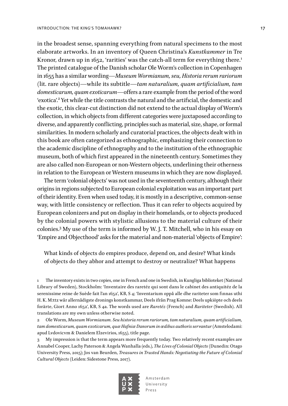in the broadest sense, spanning everything from natural specimens to the most elaborate artworks. In an inventory of Queen Christina's *Kunstkammer* in Tre Kronor, drawn up in 1652, 'rarities' was the catch-all term for everything there.<sup>1</sup> The printed catalogue of the Danish scholar Ole Worm's collection in Copenhagen in 1655 has a similar wording—*Museum Wormianum, seu, Historia rerum rariorum* (lit. rare objects)—while its subtitle—*tam naturalium, quam artificialium, tam domesticarum, quam exoticarum*—offers a rare example from the period of the word 'exotica'.<sup>2</sup> Yet while the title contrasts the natural and the artificial, the domestic and the exotic, this clear-cut distinction did not extend to the actual display of Worm's collection, in which objects from different categories were juxtaposed according to diverse, and apparently conflicting, principles such as material, size, shape, or formal similarities. In modern scholarly and curatorial practices, the objects dealt with in this book are often categorized as ethnographic, emphasizing their connection to the academic discipline of ethnography and to the institution of the ethnographic museum, both of which first appeared in the nineteenth century. Sometimes they are also called non-European or non-Western objects, underlining their otherness in relation to the European or Western museums in which they are now displayed.

The term 'colonial objects' was not used in the seventeenth century, although their origins in regions subjected to European colonial exploitation was an important part of their identity. Even when used today, it is mostly in a descriptive, common-sense way, with little consistency or reflection. Thus it can refer to objects acquired by European colonizers and put on display in their homelands, or to objects produced by the colonial powers with stylistic allusions to the material culture of their colonies.3 My use of the term is informed by W. J. T. Mitchell, who in his essay on 'Empire and Objecthood' asks for the material and non-material 'objects of Empire':

What kinds of objects do empires produce, depend on, and desire? What kinds of objects do they abhor and attempt to destroy or neutralize? What happens

1 The inventory exists in two copies, one in French and one in Swedish, in Kungliga biblioteket (National Library of Sweden), Stockholm: 'Inventaire des raretéz qui sont dans le cabinet des antiquitéz de la serenissime reine de Suède fait l'an 1652', KB, S 4; 'Inventarium oppå alle dhe rariteter som finnas uthi H. K. M:ttz wår allernådigste dronings konstkammar, Deels ifrån Prag Komne: Deels upkiöpte och deels forärte, Giort Anno 1652', KB, S 4a. The words used are *Raretéz* (French) and *Rariteter* (Swedish). All translations are my own unless otherwise noted.

2 Ole Worm, *Museum Wormianum. Seu historia rerum rariorum, tam naturalium, quam artificialium,*  tam domesticarum, quam exoticarum, quæ Hafniæ Danorum in ædibus authoris servantur (Amstelodami: apud Lvdovicvm & Danielem Elzevirios, 1655), title page.

3 My impression is that the term appears more frequently today. Two relatively recent examples are Annabel Cooper, Lachy Paterson & Angela Wanhalla (eds.), *The Lives of Colonial Objects* (Dunedin: Otago University Press, 2015); Jos van Beurden, *Treasures in Trusted Hands: Negotiating the Future of Colonial Cultural Objects* (Leiden: Sidestone Press, 2017).

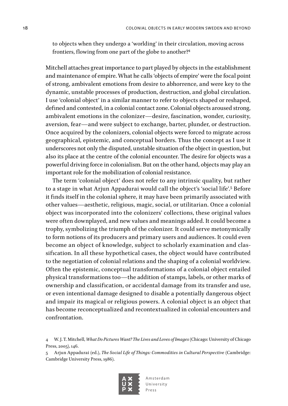to objects when they undergo a 'worlding' in their circulation, moving across frontiers, flowing from one part of the globe to another?4

Mitchell attaches great importance to part played by objects in the establishment and maintenance of empire. What he calls 'objects of empire' were the focal point of strong, ambivalent emotions from desire to abhorrence, and were key to the dynamic, unstable processes of production, destruction, and global circulation. I use 'colonial object' in a similar manner to refer to objects shaped or reshaped, defined and contested, in a colonial contact zone. Colonial objects aroused strong, ambivalent emotions in the colonizer—desire, fascination, wonder, curiosity, aversion, fear—and were subject to exchange, barter, plunder, or destruction. Once acquired by the colonizers, colonial objects were forced to migrate across geographical, epistemic, and conceptual borders. Thus the concept as I use it underscores not only the disputed, unstable situation of the object in question, but also its place at the centre of the colonial encounter. The desire for objects was a powerful driving force in colonialism. But on the other hand, objects may play an important role for the mobilization of colonial resistance.

The term 'colonial object' does not refer to any intrinsic quality, but rather to a stage in what Arjun Appadurai would call the object's 'social life'.<sup>5</sup> Before it finds itself in the colonial sphere, it may have been primarily associated with other values—aesthetic, religious, magic, social, or utilitarian. Once a colonial object was incorporated into the colonizers' collections, these original values were often downplayed, and new values and meanings added. It could become a trophy, symbolizing the triumph of the colonizer. It could serve metonymically to form notions of its producers and primary users and audiences. It could even become an object of knowledge, subject to scholarly examination and classification. In all these hypothetical cases, the object would have contributed to the negotiation of colonial relations and the shaping of a colonial worldview. Often the epistemic, conceptual transformations of a colonial object entailed physical transformations too—the addition of stamps, labels, or other marks of ownership and classification, or accidental damage from its transfer and use, or even intentional damage designed to disable a potentially dangerous object and impair its magical or religious powers. A colonial object is an object that has become reconceptualized and recontextualized in colonial encounters and confrontation.

<sup>5</sup> Arjun Appadurai (ed.), *The Social Life of Things: Commodities in Cultural Perspective* (Cambridge: Cambridge University Press, 1986).



<sup>4</sup> W. J. T. Mitchell, *What Do Pictures Want? The Lives and Loves of Images* (Chicago: University of Chicago Press, 2005), 146.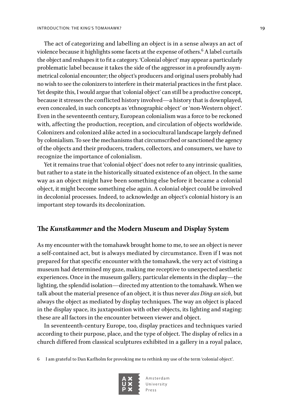The act of categorizing and labelling an object is in a sense always an act of violence because it highlights some facets at the expense of others. $^6$  A label curtails the object and reshapes it to fit a category. 'Colonial object' may appear a particularly problematic label because it takes the side of the aggressor in a profoundly asymmetrical colonial encounter; the object's producers and original users probably had no wish to see the colonizers to interfere in their material practices in the first place. Yet despite this, I would argue that 'colonial object' can still be a productive concept, because it stresses the conflicted history involved—a history that is downplayed, even concealed, in such concepts as 'ethnographic object' or 'non-Western object'. Even in the seventeenth century, European colonialism was a force to be reckoned with, affecting the production, reception, and circulation of objects worldwide. Colonizers and colonized alike acted in a sociocultural landscape largely defined by colonialism. To see the mechanisms that circumscribed or sanctioned the agency of the objects and their producers, traders, collectors, and consumers, we have to recognize the importance of colonialism.

Yet it remains true that 'colonial object' does not refer to any intrinsic qualities, but rather to a state in the historically situated existence of an object. In the same way as an object might have been something else before it became a colonial object, it might become something else again. A colonial object could be involved in decolonial processes. Indeed, to acknowledge an object's colonial history is an important step towards its decolonization.

#### **The** *Kunstkammer* **and the Modern Museum and Display System**

As my encounter with the tomahawk brought home to me, to see an object is never a self-contained act, but is always mediated by circumstance. Even if I was not prepared for that specific encounter with the tomahawk, the very act of visiting a museum had determined my gaze, making me receptive to unexpected aesthetic experiences. Once in the museum gallery, particular elements in the display—the lighting, the splendid isolation—directed my attention to the tomahawk. When we talk about the material presence of an object, it is thus never *das Ding an sich*, but always the object as mediated by display techniques. The way an object is placed in the display space, its juxtaposition with other objects, its lighting and staging: these are all factors in the encounter between viewer and object.

In seventeenth-century Europe, too, display practices and techniques varied according to their purpose, place, and the type of object. The display of relics in a church differed from classical sculptures exhibited in a gallery in a royal palace,

6 I am grateful to Dan Karlholm for provoking me to rethink my use of the term 'colonial object'.

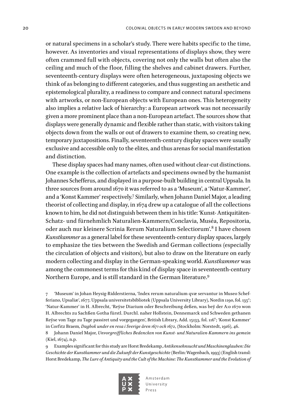or natural specimens in a scholar's study. There were habits specific to the time, however. As inventories and visual representations of displays show, they were often crammed full with objects, covering not only the walls but often also the ceiling and much of the floor, filling the shelves and cabinet drawers. Further, seventeenth-century displays were often heterogeneous, juxtaposing objects we think of as belonging to different categories, and thus suggesting an aesthetic and epistemological plurality, a readiness to compare and connect natural specimens with artworks, or non-European objects with European ones. This heterogeneity also implies a relative lack of hierarchy: a European artwork was not necessarily given a more prominent place than a non-European artefact. The sources show that displays were generally dynamic and flexible rather than static, with visitors taking objects down from the walls or out of drawers to examine them, so creating new, temporary juxtapositions. Finally, seventeenth-century display spaces were usually exclusive and accessible only to the elites, and thus arenas for social manifestation and distinction.

These display spaces had many names, often used without clear-cut distinctions. One example is the collection of artefacts and specimens owned by the humanist Johannes Schefferus, and displayed in a purpose-built building in central Uppsala. In three sources from around 1670 it was referred to as a 'Museum', a 'Natur-Kammer', and a 'Konst Kammer' respectively.7 Similarly, when Johann Daniel Major, a leading theorist of collecting and display, in 1674 drew up a catalogue of all the collections known to him, he did not distinguish between them in his title: 'Kunst- Antiquitäten-Schatz- und fürnehmlich Naturalien-Kammern/Conclavia, Muséa, Repositoria, oder auch nur kleinere Scrinia Rerum Naturalium Selectiorum'.<sup>8</sup> I have chosen *Kunstkammer* as a general label for these seventeenth-century display spaces, largely to emphasize the ties between the Swedish and German collections (especially the circulation of objects and visitors), but also to draw on the literature on early modern collecting and display in the German-speaking world. *Kunstkammer* was among the commonest terms for this kind of display space in seventeenth-century Northern Europe, and is still standard in the German literature.9

7 'Museum' in Johan Heysig-Ridderstierna, 'Index rerum naturalium qvæ servantur in Museo Schefferiano, Upsaliæ', 1677, Uppsala universitetsbibliotek (Uppsala University Library), Nordin 1190, fol. 135<sup>r</sup>; 'Natur-Kammer' in H. Albrecht, 'Reÿse Diarium oder Beschreibung deßen, was beÿ der A:o 1670 won H. Albrechts zu Sachßen Gotha fürstl. Durchl. naher Hollstein, Dennemarck und Schweden gethanen Reÿse von Tage zu Tage passiret und vorgegangen', British Library, Add. 15133, fol. 116<sup>v</sup>; 'Konst Kammer' in Corfitz Braem*, Dagbok under en resa i Sverige åren 1671 och 1672*, (Stockholm: Norstedt, 1916), 46.

8 Johann Daniel Major, *Unvorgreiffliches Bedencken von Kunst- und Naturalien-Kammern ins gemein* (Kiel, 1674), n.p.

9 Examples significant for this study are Horst Bredekamp, *Antikensehnsucht und Maschinenglauben: Die Geschichte der Kunstkammer und die Zukunft der Kunstgeschichte* (Berlin: Wagenbach, 1993) (English transl: Horst Bredekamp, *The Lure of Antiquity and the Cult of the Machine: The Kunstkammer and the Evolution of* 

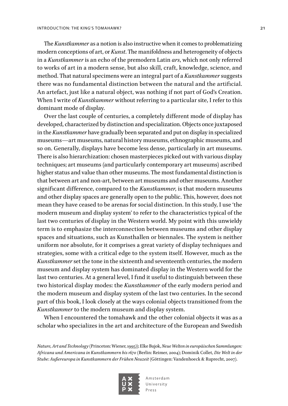The *Kunstkammer* as a notion is also instructive when it comes to problematizing modern conceptions of art, or *Kunst*. The manifoldness and heterogeneity of objects in a *Kunstkammer* is an echo of the premodern Latin *ars*, which not only referred to works of art in a modern sense, but also skill, craft, knowledge, science, and method. That natural specimens were an integral part of a *Kunstkammer* suggests there was no fundamental distinction between the natural and the artificial. An artefact, just like a natural object, was nothing if not part of God's Creation. When I write of *Kunstkammer* without referring to a particular site, I refer to this dominant mode of display.

Over the last couple of centuries, a completely different mode of display has developed, characterized by distinction and specialization. Objects once juxtaposed in the *Kunstkammer* have gradually been separated and put on display in specialized museums—art museums, natural history museums, ethnographic museums, and so on. Generally, displays have become less dense, particularly in art museums. There is also hierarchization: chosen masterpieces picked out with various display techniques; art museums (and particularly contemporary art museums) ascribed higher status and value than other museums. The most fundamental distinction is that between art and non-art, between art museums and other museums. Another significant difference, compared to the *Kunstkammer*, is that modern museums and other display spaces are generally open to the public. This, however, does not mean they have ceased to be arenas for social distinction. In this study, I use 'the modern museum and display system' to refer to the characteristics typical of the last two centuries of display in the Western world. My point with this unwieldy term is to emphasize the interconnection between museums and other display spaces and situations, such as Kunsthallen or biennales. The system is neither uniform nor absolute, for it comprises a great variety of display techniques and strategies, some with a critical edge to the system itself. However, much as the *Kunstkammer* set the tone in the sixteenth and seventeenth centuries, the modern museum and display system has dominated display in the Western world for the last two centuries. At a general level, I find it useful to distinguish between these two historical display modes: the *Kunstkammer* of the early modern period and the modern museum and display system of the last two centuries. In the second part of this book, I look closely at the ways colonial objects transitioned from the *Kunstkammer* to the modern museum and display system.

When I encountered the tomahawk and the other colonial objects it was as a scholar who specializes in the art and architecture of the European and Swedish

*Nature, Art and Technology* (Princeton: Wiener, 1995)); Elke Bujok, *Neue Welten in europäischen Sammlungen: Africana und Americana in Kunstkammern bis 1670* (Berlin: Reimer, 2004); Dominik Collet, *Die Welt in der Stube: Außereuropa in Kunstkammern der Frühen Neuzeit* (Göttingen: Vandenhoeck & Ruprecht, 2007).